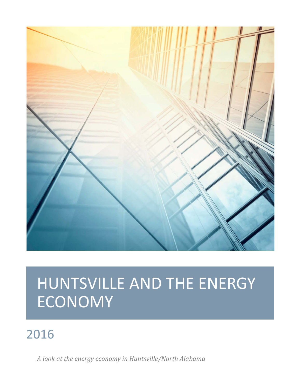

## 2016

*A look at the energy economy in Huntsville/North Alabama*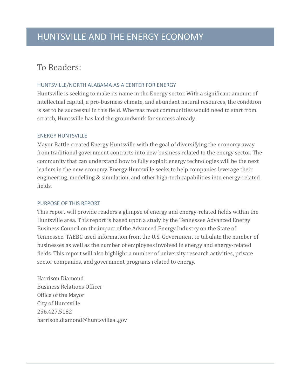#### To Readers:

#### HUNTSVILLE/NORTH ALABAMA AS A CENTER FOR ENERGY

Huntsville is seeking to make its name in the Energy sector. With a significant amount of intellectual capital, a pro-business climate, and abundant natural resources, the condition is set to be successful in this field. Whereas most communities would need to start from scratch, Huntsville has laid the groundwork for success already.

#### ENERGY HUNTSVILLE

Mayor Battle created Energy Huntsville with the goal of diversifying the economy away from traditional government contracts into new business related to the energy sector. The community that can understand how to fully exploit energy technologies will be the next leaders in the new economy. Energy Huntsville seeks to help companies leverage their engineering, modelling & simulation, and other high-tech capabilities into energy-related fields.

#### PURPOSE OF THIS REPORT

This report will provide readers a glimpse of energy and energy-related fields within the Huntsville area. This report is based upon a study by the Tennessee Advanced Energy Business Council on the impact of the Advanced Energy Industry on the State of Tennessee. TAEBC used information from the U.S. Government to tabulate the number of businesses as well as the number of employees involved in energy and energy-related fields. This report will also highlight a number of university research activities, private sector companies, and government programs related to energy.

Harrison Diamond Business Relations Officer Office of the Mayor City of Huntsville 256.427.5182 harrison.diamond@huntsvilleal.gov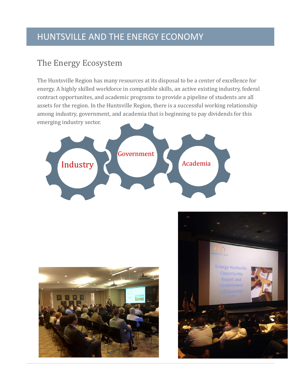#### The Energy Ecosystem

The Huntsville Region has many resources at its disposal to be a center of excellence for energy. A highly skilled workforce in compatible skills, an active existing industry, federal contract opportunites, and academic programs to provide a pipeline of students are all assets for the region. In the Huntsville Region, there is a successful working relationship among industry, government, and academia that is beginning to pay dividends for this emerging industry sector.





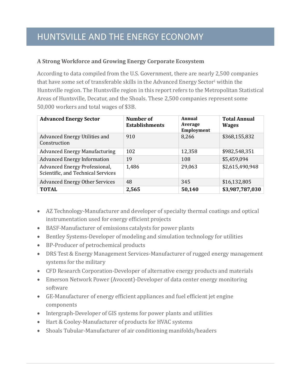#### **A Strong Workforce and Growing Energy Corporate Ecosystem**

According to data compiled from the U.S. Government, there are nearly 2,500 companies that have some set of transferable skills in the Advanced Energy Sector[i](#page-7-0) within the Huntsville region. The Huntsville region in this report refers to the Metropolitan Statistical Areas of Huntsville, Decatur, and the Shoals. These 2,500 companies represent some 50,000 workers and total wages of \$3B.

| <b>Advanced Energy Sector</b>                                       | Number of<br><b>Establishments</b> | Annual<br>Average<br><b>Employment</b> | <b>Total Annual</b><br><b>Wages</b> |
|---------------------------------------------------------------------|------------------------------------|----------------------------------------|-------------------------------------|
| Advanced Energy Utilities and<br>Construction                       | 910                                | 8,266                                  | \$368,155,832                       |
| <b>Advanced Energy Manufacturing</b>                                | 102                                | 12,358                                 | \$982,548,351                       |
| <b>Advanced Energy Information</b>                                  | 19                                 | 108                                    | \$5,459,094                         |
| Advanced Energy Professional,<br>Scientific, and Technical Services | 1,486                              | 29,063                                 | \$2,615,490,948                     |
| <b>Advanced Energy Other Services</b>                               | 48                                 | 345                                    | \$16,132,805                        |
| <b>TOTAL</b>                                                        | 2,565                              | 50,140                                 | \$3,987,787,030                     |

- AZ Technology-Manufacturer and developer of specialty thermal coatings and optical instrumentation used for energy efficient projects
- BASF-Manufacturer of emissions catalysts for power plants
- Bentley Systems-Developer of modeling and simulation technology for utilities
- BP-Producer of petrochemical products
- DRS Test & Energy Management Services-Manufacturer of rugged energy management systems for the military
- CFD Research Corporation-Developer of alternative energy products and materials
- Emerson Network Power (Avocent)-Developer of data center energy monitoring software
- GE-Manufacturer of energy efficient appliances and fuel efficient jet engine components
- Intergraph-Developer of GIS systems for power plants and utilities
- Hart & Cooley-Manufacturer of products for HVAC systems
- Shoals Tubular-Manufacturer of air conditioning manifolds/headers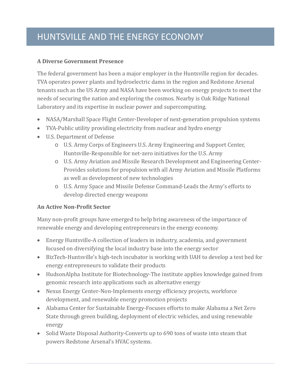#### **A Diverse Government Presence**

The federal government has been a major employer in the Huntsville region for decades. TVA operates power plants and hydroelectric dams in the region and Redstone Arsenal tenants such as the US Army and NASA have been working on energy projects to meet the needs of securing the nation and exploring the cosmos. Nearby is Oak Ridge National Laboratory and its expertise in nuclear power and supercomputing.

- NASA/Marshall Space Flight Center-Developer of next-generation propulsion systems
- TVA-Public utility providing electricity from nuclear and hydro energy
- U.S. Department of Defense
	- o U.S. Army Corps of Engineers U.S. Army Engineering and Support Center, Huntsville-Responsible for net-zero initiatives for the U.S. Army
	- o U.S. Army Aviation and Missile Research Development and Engineering Center-Provides solutions for propulsion with all Army Aviation and Missile Platforms as well as development of new technologies
	- o U.S. Army Space and Missile Defense Command-Leads the Army's efforts to develop directed energy weapons

#### **An Active Non-Profit Sector**

Many non-profit groups have emerged to help bring awareness of the importance of renewable energy and developing entrepreneurs in the energy economy.

- Energy Huntsville-A collection of leaders in industry, academia, and government focused on diversifying the local industry base into the energy sector
- BizTech-Huntsville's high-tech incubator is working with UAH to develop a test bed for energy entrepreneurs to validate their products
- HudsonAlpha Institute for Biotechnology-The institute applies knowledge gained from genomic research into applications such as alternative energy
- Nexus Energy Center-Non-Implements energy efficiency projects, workforce development, and renewable energy promotion projects
- Alabama Center for Sustainable Energy-Focuses efforts to make Alabama a Net Zero State through green building, deployment of electric vehicles, and using renewable energy
- Solid Waste Disposal Authority-Converts up to 690 tons of waste into steam that powers Redstone Arsenal's HVAC systems.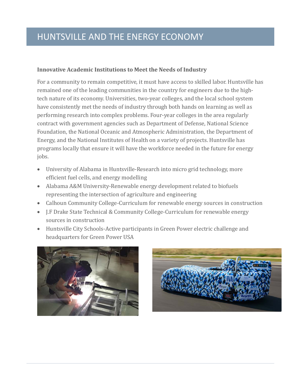#### **Innovative Academic Institutions to Meet the Needs of Industry**

For a community to remain competitive, it must have access to skilled labor. Huntsville has remained one of the leading communities in the country for engineers due to the hightech nature of its economy. Universities, two-year colleges, and the local school system have consistently met the needs of industry through both hands on learning as well as performing research into complex problems. Four-year colleges in the area regularly contract with government agencies such as Department of Defense, National Science Foundation, the National Oceanic and Atmospheric Administration, the Department of Energy, and the National Institutes of Health on a variety of projects. Huntsville has programs locally that ensure it will have the workforce needed in the future for energy jobs.

- University of Alabama in Huntsville-Research into micro grid technology, more efficient fuel cells, and energy modelling
- Alabama A&M University-Renewable energy development related to biofuels representing the intersection of agriculture and engineering
- Calhoun Community College-Curriculum for renewable energy sources in construction
- J.F Drake State Technical & Community College-Curriculum for renewable energy sources in construction
- Huntsville City Schools-Active participants in Green Power electric challenge and headquarters for Green Power USA



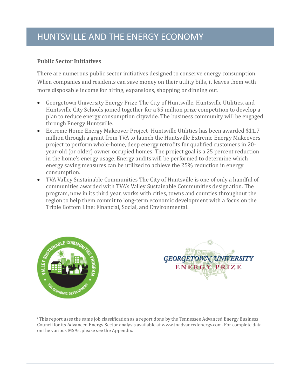#### **Public Sector Initiatives**

There are numerous public sector initiatives designed to conserve energy consumption. When companies and residents can save money on their utility bills, it leaves them with more disposable income for hiring, expansions, shopping or dinning out.

- Georgetown University Energy Prize-The City of Huntsville, Huntsville Utilities, and Huntsville City Schools joined together for a \$5 million prize competition to develop a plan to reduce energy consumption citywide. The business community will be engaged through Energy Huntsville.
- Extreme Home Energy Makeover Project- Huntsville Utilities has been awarded \$11.7 million through a grant from TVA to launch the Huntsville Extreme Energy Makeovers project to perform whole-home, deep energy retrofits for qualified customers in 20 year-old (or older) owner occupied homes. The project goal is a 25 percent reduction in the home's energy usage. Energy audits will be performed to determine which energy saving measures can be utilized to achieve the 25% reduction in energy consumption.
- TVA Valley Sustainable Communities-The City of Huntsville is one of only a handful of communities awarded with TVA's Valley Sustainable Communities designation. The program, now in its third year, works with cities, towns and counties throughout the region to help them commit to long-term economic development with a focus on the Triple Bottom Line: Financial, Social, and Environmental.





<sup>&</sup>lt;sup>i</sup> This report uses the same job classification as a report done by the Tennessee Advanced Energy Business Council for its Advanced Energy Sector analysis available a[t www.tnadvancedenergy.com.](http://www.tnadvancedenergy.com/) For complete data on the various MSAs, please see the Appendix. j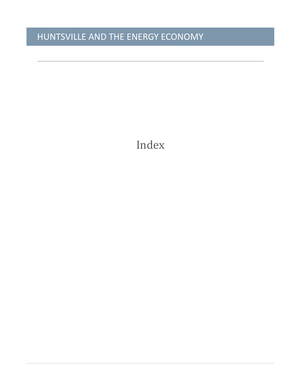j

<span id="page-7-0"></span>Index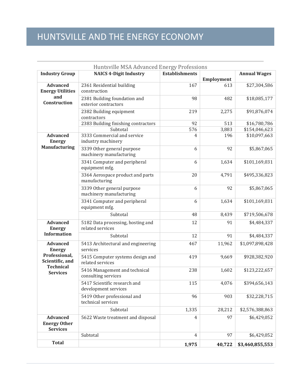| Huntsville MSA Advanced Energy Professions                |                                                       |                       |            |                     |
|-----------------------------------------------------------|-------------------------------------------------------|-----------------------|------------|---------------------|
| <b>Industry Group</b>                                     | <b>NAICS 4-Digit Industry</b>                         | <b>Establishments</b> | Employment | <b>Annual Wages</b> |
| <b>Advanced</b><br><b>Energy Utilities</b>                | 2361 Residential building<br>construction             | 167                   | 613        | \$27,304,586        |
| and<br>Construction                                       | 2381 Building foundation and<br>exterior contractors  | 98                    | 482        | \$18,085,177        |
|                                                           | 2382 Building equipment<br>contractors                | 219                   | 2,275      | \$91,876,074        |
|                                                           | 2383 Building finishing contractors                   | 92                    | 513        | \$16,780,786        |
|                                                           | Subtotal                                              | 576                   | 3,883      | \$154,046,623       |
| <b>Advanced</b><br><b>Energy</b><br><b>Manufacturing</b>  | 3333 Commercial and service<br>industry machinery     | $\overline{4}$        | 196        | \$10,097,663        |
|                                                           | 3339 Other general purpose<br>machinery manufacturing | 6                     | 92         | \$5,867,065         |
|                                                           | 3341 Computer and peripheral<br>equipment mfg.        | 6                     | 1,634      | \$101,169,031       |
|                                                           | 3364 Aerospace product and parts<br>manufacturing     | 20                    | 4,791      | \$495,336,823       |
|                                                           | 3339 Other general purpose<br>machinery manufacturing | 6                     | 92         | \$5,867,065         |
|                                                           | 3341 Computer and peripheral<br>equipment mfg.        | 6                     | 1,634      | \$101,169,031       |
|                                                           | Subtotal                                              | 48                    | 8,439      | \$719,506,678       |
| <b>Advanced</b><br><b>Energy</b>                          | 5182 Data processing, hosting and<br>related services | 12                    | 91         | \$4,484,337         |
| <b>Information</b>                                        | Subtotal                                              | 12                    | 91         | \$4,484,337         |
| <b>Advanced</b><br><b>Energy</b>                          | 5413 Architectural and engineering<br>services        | 467                   | 11,962     | \$1,097,898,428     |
| Professional,<br>Scientific, and                          | 5415 Computer systems design and<br>related services  | 419                   | 9,669      | \$928,382,920       |
| <b>Technical</b><br><b>Services</b>                       | 5416 Management and technical<br>consulting services  | 238                   | 1,602      | \$123,222,657       |
|                                                           | 5417 Scientific research and<br>development services  | 115                   | 4,076      | \$394,656,143       |
|                                                           | 5419 Other professional and<br>technical services     | 96                    | 903        | \$32,228,715        |
|                                                           | Subtotal                                              | 1,335                 | 28,212     | \$2,576,388,863     |
| <b>Advanced</b><br><b>Energy Other</b><br><b>Services</b> | 5622 Waste treatment and disposal                     | $\overline{4}$        | 97         | \$6,429,052         |
|                                                           | Subtotal                                              | $\overline{4}$        | 97         | \$6,429,052         |
| <b>Total</b>                                              |                                                       | 1,975                 | 40,722     | \$3,460,855,553     |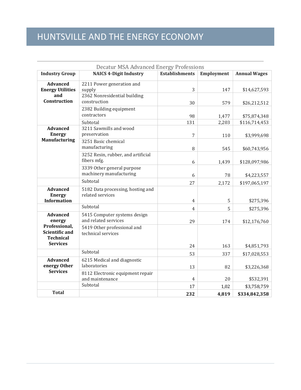| <b>Decatur MSA Advanced Energy Professions</b>                                |                                                                     |                       |            |                     |
|-------------------------------------------------------------------------------|---------------------------------------------------------------------|-----------------------|------------|---------------------|
| <b>Industry Group</b>                                                         | <b>NAICS 4-Digit Industry</b>                                       | <b>Establishments</b> | Employment | <b>Annual Wages</b> |
| <b>Advanced</b><br><b>Energy Utilities</b><br>and                             | 2211 Power generation and<br>supply<br>2362 Nonresidential building | 3                     | 147        | \$14,627,593        |
| Construction                                                                  | construction                                                        | 30                    | 579        | \$26,212,512        |
|                                                                               | 2382 Building equipment<br>contractors                              | 98                    | 1,477      | \$75,874,348        |
|                                                                               | Subtotal                                                            | 131                   | 2,203      | \$116,714,453       |
| <b>Advanced</b><br><b>Energy</b>                                              | 3211 Sawmills and wood<br>preservation                              | 7                     | 110        | \$3,999,698         |
| <b>Manufacturing</b>                                                          | 3251 Basic chemical<br>manufacturing                                | 8                     | 545        | \$60,743,956        |
|                                                                               | 3252 Resin, rubber, and artificial<br>fibers mfg.                   | 6                     | 1,439      | \$128,097,986       |
|                                                                               | 3339 Other general purpose<br>machinery manufacturing               | 6                     | 78         | \$4,223,557         |
|                                                                               | Subtotal                                                            | 27                    | 2,172      | \$197,065,197       |
| <b>Advanced</b><br><b>Energy</b><br><b>Information</b>                        | 5182 Data processing, hosting and<br>related services               | $\overline{4}$        | 5          | \$275,396           |
|                                                                               | Subtotal                                                            | 4                     | 5          | \$275,396           |
| <b>Advanced</b><br>energy                                                     | 5415 Computer systems design<br>and related services                | 29                    | 174        | \$12,176,760        |
| Professional,<br><b>Scientific and</b><br><b>Technical</b><br><b>Services</b> | 5419 Other professional and<br>technical services                   |                       |            |                     |
|                                                                               |                                                                     | 24                    | 163        | \$4,851,793         |
|                                                                               | Subtotal                                                            | 53                    | 337        | \$17,028,553        |
| <b>Advanced</b><br>energy Other                                               | 6215 Medical and diagnostic<br>laboratories                         | 13                    | 82         | \$3,226,368         |
| <b>Services</b>                                                               | 8112 Electronic equipment repair<br>and maintenance                 | 4                     | 20         | \$532,391           |
|                                                                               | Subtotal                                                            | 17                    | 1,02       | \$3,758,759         |
| <b>Total</b>                                                                  |                                                                     | 232                   | 4,819      | \$334,842,358       |